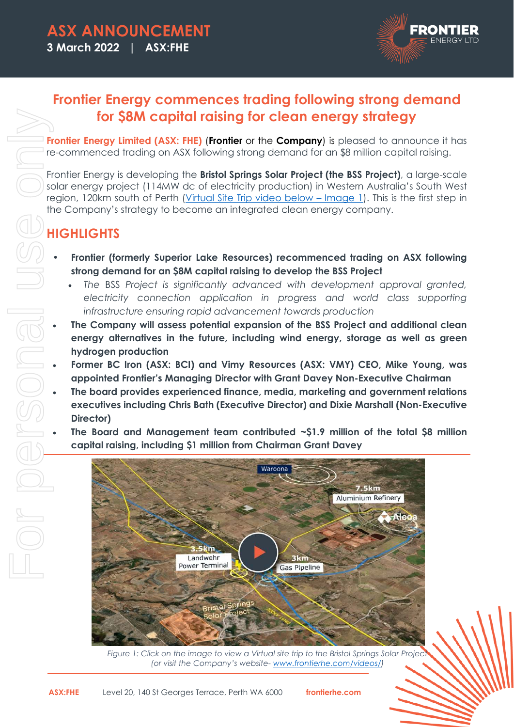

## **Frontier Energy commences trading following strong demand for \$8M capital raising for clean energy strategy**

**Frontier Energy Limited (ASX: FHE)** (**Frontier** or the **Company**) is pleased to announce it has re-commenced trading on ASX following strong demand for an \$8 million capital raising.

Frontier Energy is developing the **Bristol Springs Solar Project (the BSS Project)**, a large-scale solar energy project (114MW dc of electricity production) in Western Australia's South West region, 120km south of Perth (Virtual Site Trip video below – Image 1). This is the first step in the Company's strategy to become an integrated clean energy company.

# **HIGHLIGHTS**

- **Frontier (formerly Superior Lake Resources) recommenced trading on ASX following strong demand for an \$8M capital raising to develop the BSS Project** 
	- *The* BSS *Project is significantly advanced with development approval granted,*  electricity connection application in progress and world class supporting *infrastructure ensuring rapid advancement towards production*
- **The Company will assess potential expansion of the BSS Project and additional clean energy alternatives in the future, including wind energy, storage as well as green hydrogen production**
- **Former BC Iron (ASX: BCI) and Vimy Resources (ASX: VMY) CEO, Mike Young, was appointed Frontier's Managing Director with Grant Davey Non-Executive Chairman**
- **The board provides experienced finance, media, marketing and government relations executives including Chris Bath (Executive Director) and Dixie Marshall (Non-Executive Director)**
- **The Board and Management team contributed ~\$1.9 million of the total \$8 million capital raising, including \$1 million from Chairman Grant Davey**



*Figure 1: Click on the image to view a Virtual site trip to the Bristol Springs Solar Project (or visit the Company's website- www.frontierhe.com/videos/)*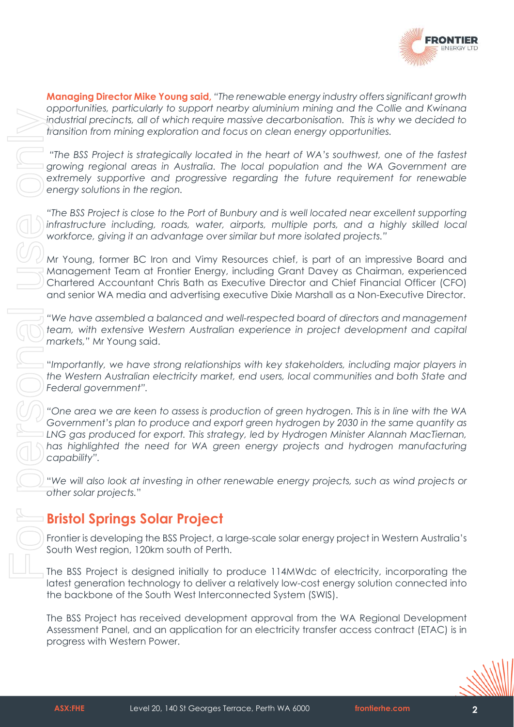

**Managing Director Mike Young said,** *"The renewable energy industry offers significant growth opportunities, particularly to support nearby aluminium mining and the Collie and Kwinana industrial precincts, all of which require massive decarbonisation. This is why we decided to transition from mining exploration and focus on clean energy opportunities. "The BSS Project is strategically located in the heart of WA's southwest, one of the fastest* 

*growing regional areas in Australia. The local population and the WA Government are extremely supportive and progressive regarding the future requirement for renewable energy solutions in the region.* 

*"The BSS Project is close to the Port of Bunbury and is well located near excellent supporting infrastructure including, roads, water, airports, multiple ports, and a highly skilled local workforce, giving it an advantage over similar but more isolated projects."* 

Mr Young, former BC Iron and Vimy Resources chief, is part of an impressive Board and Management Team at Frontier Energy, including Grant Davey as Chairman, experienced Chartered Accountant Chris Bath as Executive Director and Chief Financial Officer (CFO) and senior WA media and advertising executive Dixie Marshall as a Non-Executive Director.

*"We have assembled a balanced and well-respected board of directors and management team, with extensive Western Australian experience in project development and capital markets,"* Mr Young said.

"*Importantly, we have strong relationships with key stakeholders, including major players in the Western Australian electricity market, end users, local communities and both State and Federal government".* 

*"One area we are keen to assess is production of green hydrogen. This is in line with the WA Government's plan to produce and export green hydrogen by 2030 in the same quantity as LNG gas produced for export. This strategy, led by Hydrogen Minister Alannah MacTiernan,*  has highlighted the need for WA green energy projects and hydrogen manufacturing *capability".* 

"*We will also look at investing in other renewable energy projects, such as wind projects or other solar projects.*"

## **Bristol Springs Solar Project**

Frontier is developing the BSS Project, a large-scale solar energy project in Western Australia's South West region, 120km south of Perth.

The BSS Project is designed initially to produce 114MWdc of electricity, incorporating the latest generation technology to deliver a relatively low-cost energy solution connected into the backbone of the South West Interconnected System (SWIS).

The BSS Project has received development approval from the WA Regional Development Assessment Panel, and an application for an electricity transfer access contract (ETAC) is in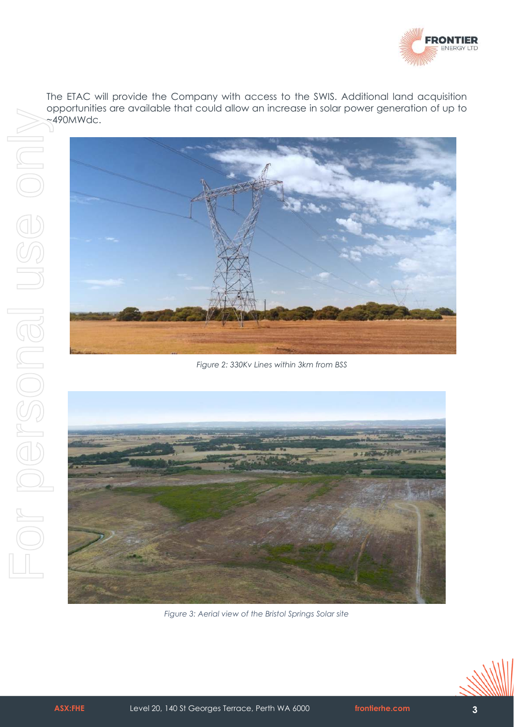

The ETAC will provide the Company with access to the SWIS. Additional land acquisition opportunities are available that could allow an increase in solar power generation of up to



*Figure 2: 330Kv Lines within 3km from BSS* 



*Figure 3: Aerial view of the Bristol Springs Solar site* 

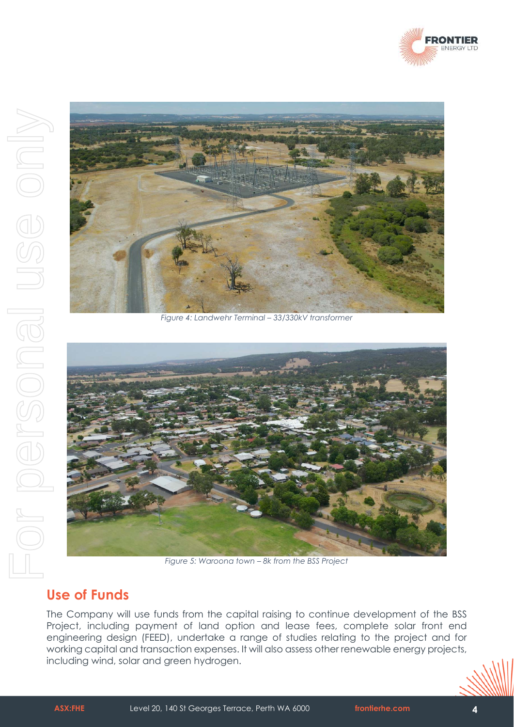



*Figure 4: Landwehr Terminal – 33/330kV transformer* 



*Figure 5: Waroona town – 8k from the BSS Project* 

### **Use of Funds**

The Company will use funds from the capital raising to continue development of the BSS Project, including payment of land option and lease fees, complete solar front end engineering design (FEED), undertake a range of studies relating to the project and for working capital and transaction expenses. It will also assess other renewable energy projects,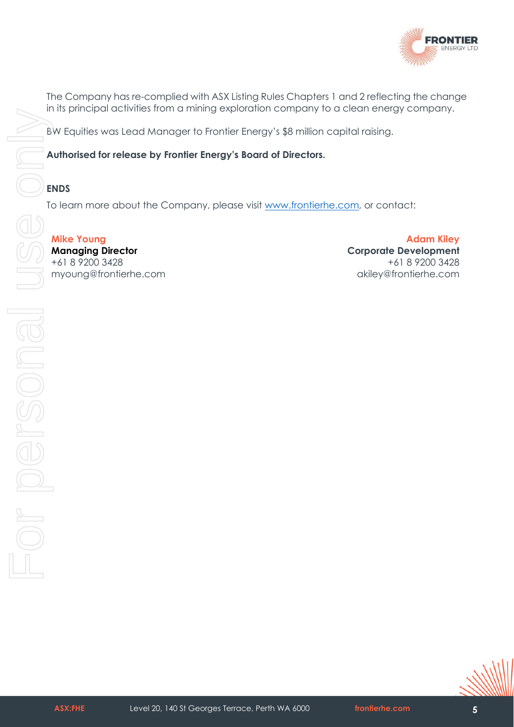

The Company has re-complied with ASX Listing Rules Chapters 1 and 2 reflecting the change in its principal activities from a mining exploration company to a clean energy company.

BW Equities was Lead Manager to Frontier Energy's \$8 million capital raising.

**Authorised for release by Frontier Energy's Board of Directors.** 

#### **ENDS**

To learn more about the Company, please visit www.frontierhe.com, or contact:

**Mike Young Managing Director**  +61 8 9200 3428 myoung@frontierhe.com

**Adam Kiley Corporate Development** +61 8 9200 3428 akiley@frontierhe.com